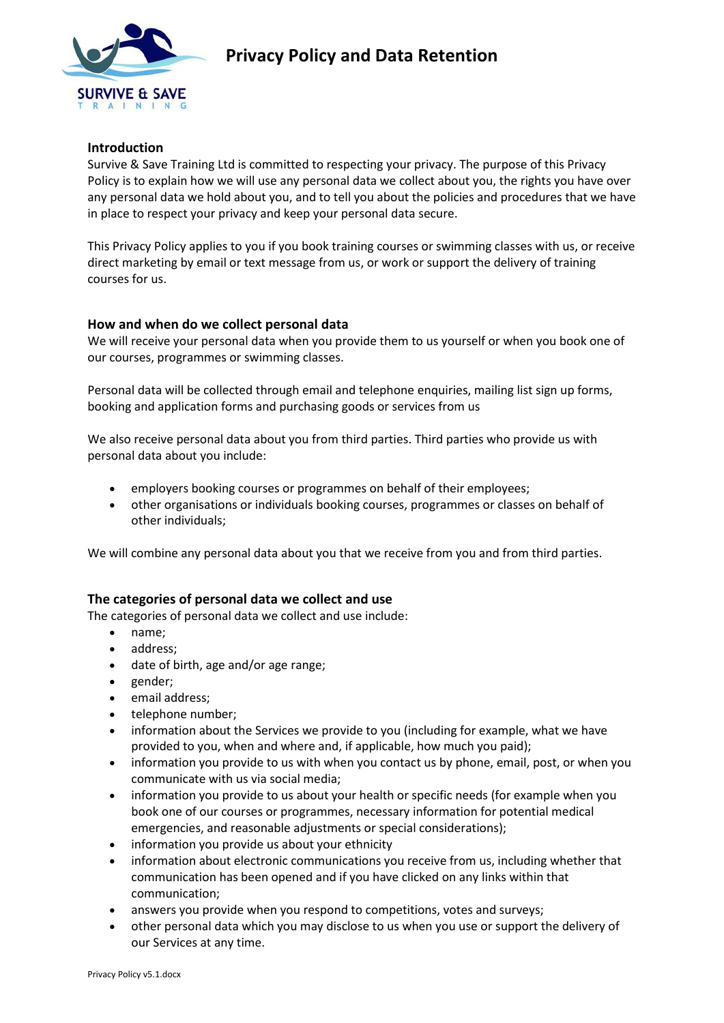

# **Privacy Policy and Data Retention**

### **Introduction**

Survive & Save Training Ltd is committed to respecting your privacy. The purpose of this Privacy Policy is to explain how we will use any personal data we collect about you, the rights you have over any personal data we hold about you, and to tell you about the policies and procedures that we have in place to respect your privacy and keep your personal data secure.

This Privacy Policy applies to you if you book training courses or swimming classes with us, or receive direct marketing by email or text message from us, or work or support the delivery of training courses for us.

## **How and when do we collect personal data**

We will receive your personal data when you provide them to us yourself or when you book one of our courses, programmes or swimming classes.

Personal data will be collected through email and telephone enquiries, mailing list sign up forms, booking and application forms and purchasing goods or services from us

We also receive personal data about you from third parties. Third parties who provide us with personal data about you include:

- employers booking courses or programmes on behalf of their employees;
- other organisations or individuals booking courses, programmes or classes on behalf of other individuals;

We will combine any personal data about you that we receive from you and from third parties.

# **The categories of personal data we collect and use**

The categories of personal data we collect and use include:

- name;
- address;
- date of birth, age and/or age range;
- gender;
- email address;
- telephone number;
- information about the Services we provide to you (including for example, what we have provided to you, when and where and, if applicable, how much you paid);
- information you provide to us with when you contact us by phone, email, post, or when you communicate with us via social media;
- information you provide to us about your health or specific needs (for example when you book one of our courses or programmes, necessary information for potential medical emergencies, and reasonable adjustments or special considerations);
- information you provide us about your ethnicity
- information about electronic communications you receive from us, including whether that communication has been opened and if you have clicked on any links within that communication;
- answers you provide when you respond to competitions, votes and surveys;
- other personal data which you may disclose to us when you use or support the delivery of our Services at any time.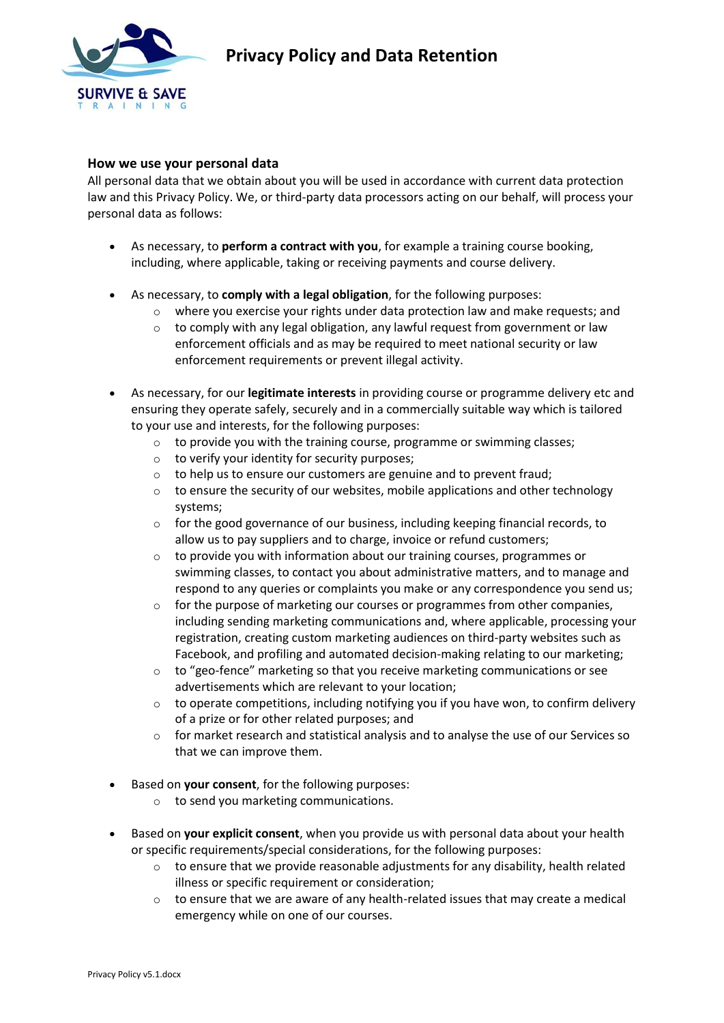

## **How we use your personal data**

All personal data that we obtain about you will be used in accordance with current data protection law and this Privacy Policy. We, or third-party data processors acting on our behalf, will process your personal data as follows:

- As necessary, to **perform a contract with you**, for example a training course booking, including, where applicable, taking or receiving payments and course delivery.
- As necessary, to **comply with a legal obligation**, for the following purposes:
	- o where you exercise your rights under data protection law and make requests; and
	- o to comply with any legal obligation, any lawful request from government or law enforcement officials and as may be required to meet national security or law enforcement requirements or prevent illegal activity.
- As necessary, for our **legitimate interests** in providing course or programme delivery etc and ensuring they operate safely, securely and in a commercially suitable way which is tailored to your use and interests, for the following purposes:
	- o to provide you with the training course, programme or swimming classes;
	- $\circ$  to verify your identity for security purposes;
	- o to help us to ensure our customers are genuine and to prevent fraud;
	- $\circ$  to ensure the security of our websites, mobile applications and other technology systems;
	- o for the good governance of our business, including keeping financial records, to allow us to pay suppliers and to charge, invoice or refund customers;
	- o to provide you with information about our training courses, programmes or swimming classes, to contact you about administrative matters, and to manage and respond to any queries or complaints you make or any correspondence you send us;
	- $\circ$  for the purpose of marketing our courses or programmes from other companies, including sending marketing communications and, where applicable, processing your registration, creating custom marketing audiences on third-party websites such as Facebook, and profiling and automated decision-making relating to our marketing;
	- $\circ$  to "geo-fence" marketing so that you receive marketing communications or see advertisements which are relevant to your location;
	- $\circ$  to operate competitions, including notifying you if you have won, to confirm delivery of a prize or for other related purposes; and
	- for market research and statistical analysis and to analyse the use of our Services so that we can improve them.
- Based on **your consent**, for the following purposes:
	- o to send you marketing communications.
- Based on **your explicit consent**, when you provide us with personal data about your health or specific requirements/special considerations, for the following purposes:
	- $\circ$  to ensure that we provide reasonable adjustments for any disability, health related illness or specific requirement or consideration;
	- $\circ$  to ensure that we are aware of any health-related issues that may create a medical emergency while on one of our courses.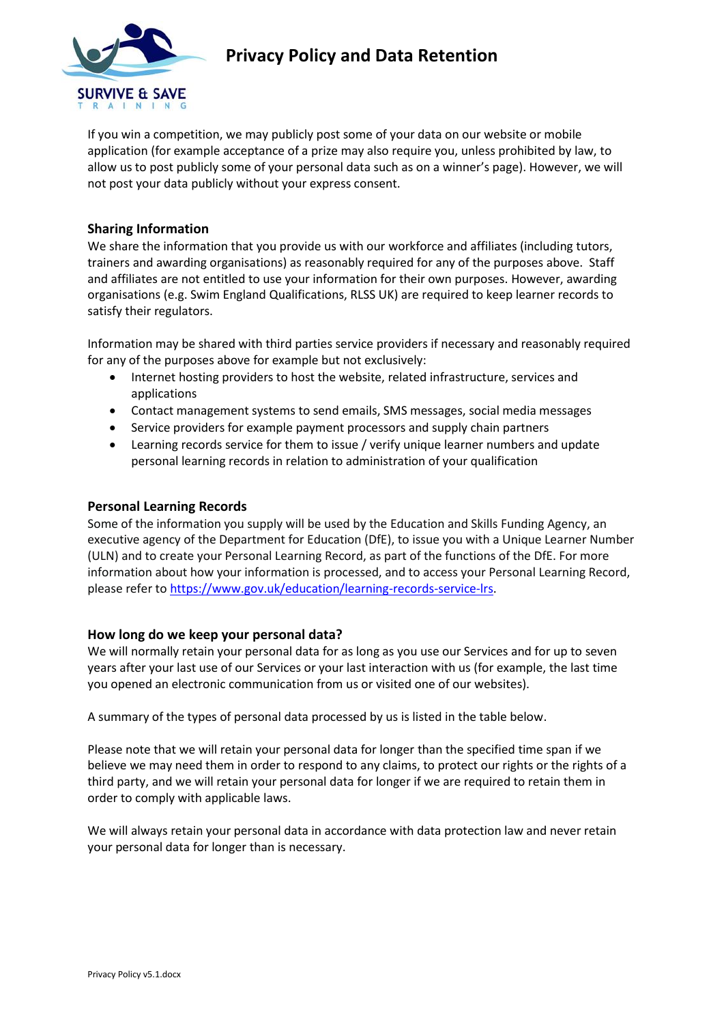

# **Privacy Policy and Data Retention**

If you win a competition, we may publicly post some of your data on our website or mobile application (for example acceptance of a prize may also require you, unless prohibited by law, to allow us to post publicly some of your personal data such as on a winner's page). However, we will not post your data publicly without your express consent.

## **Sharing Information**

We share the information that you provide us with our workforce and affiliates (including tutors, trainers and awarding organisations) as reasonably required for any of the purposes above. Staff and affiliates are not entitled to use your information for their own purposes. However, awarding organisations (e.g. Swim England Qualifications, RLSS UK) are required to keep learner records to satisfy their regulators.

Information may be shared with third parties service providers if necessary and reasonably required for any of the purposes above for example but not exclusively:

- Internet hosting providers to host the website, related infrastructure, services and applications
- Contact management systems to send emails, SMS messages, social media messages
- Service providers for example payment processors and supply chain partners
- Learning records service for them to issue / verify unique learner numbers and update personal learning records in relation to administration of your qualification

#### **Personal Learning Records**

Some of the information you supply will be used by the Education and Skills Funding Agency, an executive agency of the Department for Education (DfE), to issue you with a Unique Learner Number (ULN) and to create your Personal Learning Record, as part of the functions of the DfE. For more information about how your information is processed, and to access your Personal Learning Record, please refer t[o https://www.gov.uk/education/learning-records-service-lrs.](https://www.gov.uk/education/learning-records-service-lrs)

### **How long do we keep your personal data?**

We will normally retain your personal data for as long as you use our Services and for up to seven years after your last use of our Services or your last interaction with us (for example, the last time you opened an electronic communication from us or visited one of our websites).

A summary of the types of personal data processed by us is listed in the table below.

Please note that we will retain your personal data for longer than the specified time span if we believe we may need them in order to respond to any claims, to protect our rights or the rights of a third party, and we will retain your personal data for longer if we are required to retain them in order to comply with applicable laws.

We will always retain your personal data in accordance with data protection law and never retain your personal data for longer than is necessary.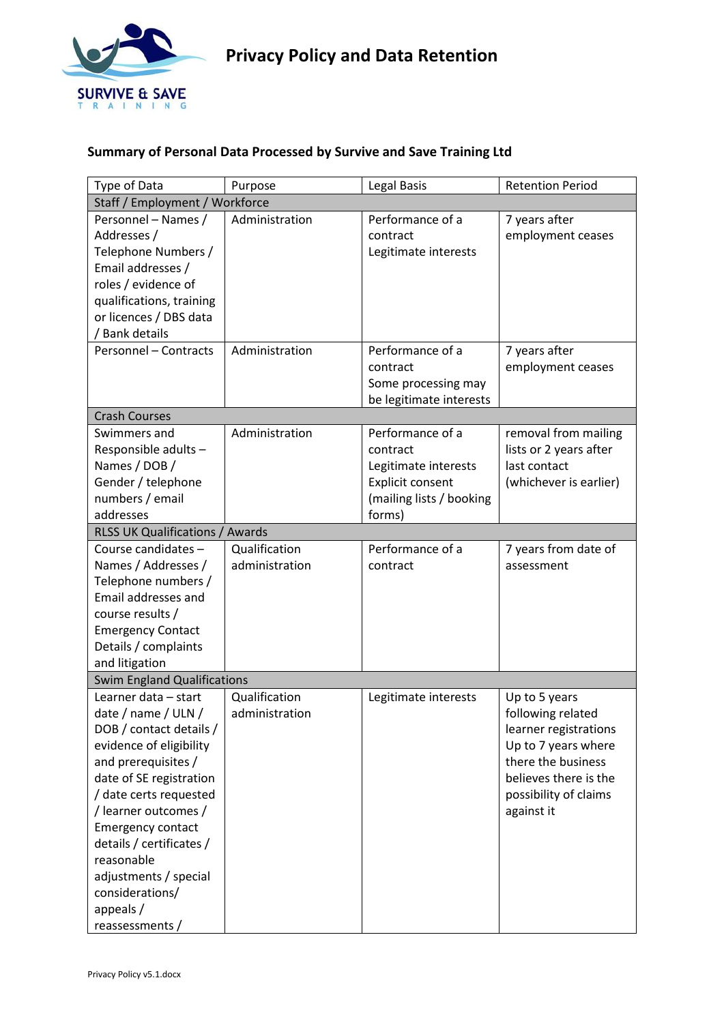

# **Summary of Personal Data Processed by Survive and Save Training Ltd**

| Type of Data                           | Purpose        | Legal Basis              | <b>Retention Period</b> |  |
|----------------------------------------|----------------|--------------------------|-------------------------|--|
| Staff / Employment / Workforce         |                |                          |                         |  |
| Personnel - Names /                    | Administration | Performance of a         | 7 years after           |  |
| Addresses /                            |                | contract                 | employment ceases       |  |
| Telephone Numbers /                    |                | Legitimate interests     |                         |  |
| Email addresses /                      |                |                          |                         |  |
| roles / evidence of                    |                |                          |                         |  |
| qualifications, training               |                |                          |                         |  |
| or licences / DBS data                 |                |                          |                         |  |
| / Bank details                         |                |                          |                         |  |
| <b>Personnel - Contracts</b>           | Administration | Performance of a         | 7 years after           |  |
|                                        |                | contract                 | employment ceases       |  |
|                                        |                | Some processing may      |                         |  |
|                                        |                | be legitimate interests  |                         |  |
| <b>Crash Courses</b>                   |                |                          |                         |  |
| Swimmers and                           | Administration | Performance of a         | removal from mailing    |  |
| Responsible adults-                    |                | contract                 | lists or 2 years after  |  |
| Names / DOB /                          |                | Legitimate interests     | last contact            |  |
| Gender / telephone                     |                | <b>Explicit consent</b>  | (whichever is earlier)  |  |
| numbers / email                        |                | (mailing lists / booking |                         |  |
| addresses                              |                | forms)                   |                         |  |
| <b>RLSS UK Qualifications / Awards</b> |                |                          |                         |  |
| Course candidates -                    | Qualification  | Performance of a         | 7 years from date of    |  |
| Names / Addresses /                    | administration | contract                 | assessment              |  |
| Telephone numbers /                    |                |                          |                         |  |
| Email addresses and                    |                |                          |                         |  |
| course results /                       |                |                          |                         |  |
| <b>Emergency Contact</b>               |                |                          |                         |  |
| Details / complaints                   |                |                          |                         |  |
| and litigation                         |                |                          |                         |  |
| <b>Swim England Qualifications</b>     |                |                          |                         |  |
| Learner data - start                   | Qualification  | Legitimate interests     | Up to 5 years           |  |
| date / name / ULN /                    | administration |                          | following related       |  |
| DOB / contact details /                |                |                          | learner registrations   |  |
| evidence of eligibility                |                |                          | Up to 7 years where     |  |
| and prerequisites /                    |                |                          | there the business      |  |
| date of SE registration                |                |                          | believes there is the   |  |
| / date certs requested                 |                |                          | possibility of claims   |  |
|                                        |                |                          |                         |  |
| /learner outcomes /                    |                |                          | against it              |  |
| <b>Emergency contact</b>               |                |                          |                         |  |
| details / certificates /               |                |                          |                         |  |
| reasonable                             |                |                          |                         |  |
| adjustments / special                  |                |                          |                         |  |
| considerations/                        |                |                          |                         |  |
| appeals /                              |                |                          |                         |  |
| reassessments /                        |                |                          |                         |  |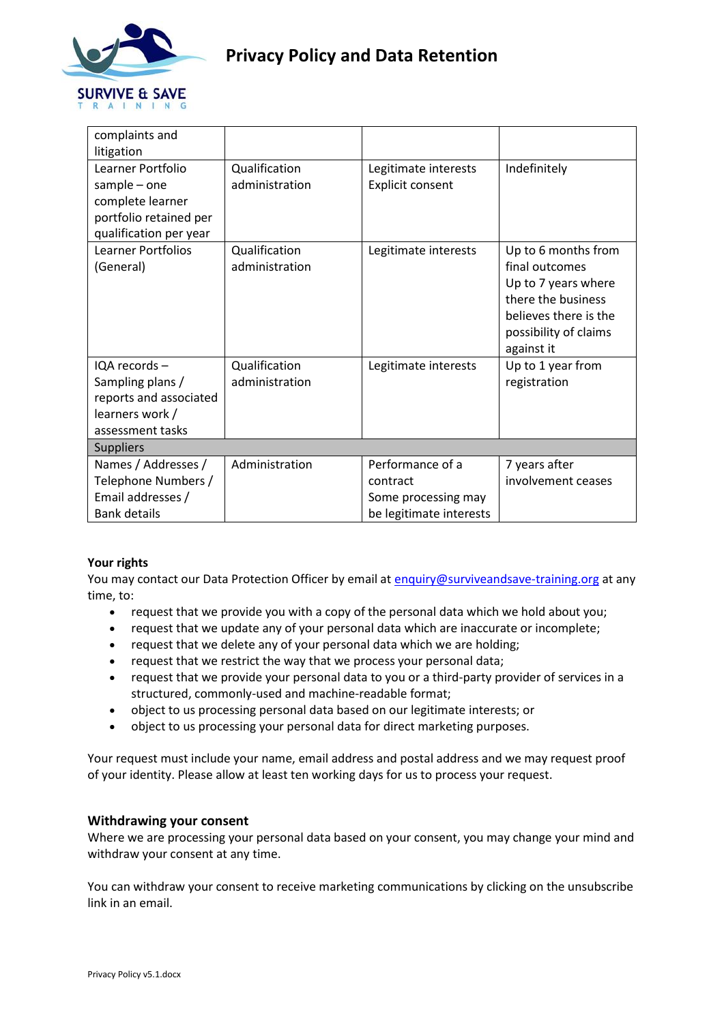

| complaints and                                                                                     |                                 |                         |                                                                                                                                                    |  |  |
|----------------------------------------------------------------------------------------------------|---------------------------------|-------------------------|----------------------------------------------------------------------------------------------------------------------------------------------------|--|--|
| litigation                                                                                         |                                 |                         |                                                                                                                                                    |  |  |
| Learner Portfolio                                                                                  | Qualification                   | Legitimate interests    | Indefinitely                                                                                                                                       |  |  |
| $sample - one$                                                                                     | administration                  | Explicit consent        |                                                                                                                                                    |  |  |
| complete learner                                                                                   |                                 |                         |                                                                                                                                                    |  |  |
| portfolio retained per                                                                             |                                 |                         |                                                                                                                                                    |  |  |
| qualification per year                                                                             |                                 |                         |                                                                                                                                                    |  |  |
| Learner Portfolios<br>(General)                                                                    | Qualification<br>administration | Legitimate interests    | Up to 6 months from<br>final outcomes<br>Up to 7 years where<br>there the business<br>believes there is the<br>possibility of claims<br>against it |  |  |
| IQA records -<br>Sampling plans /<br>reports and associated<br>learners work /<br>assessment tasks | Qualification<br>administration | Legitimate interests    | Up to 1 year from<br>registration                                                                                                                  |  |  |
| <b>Suppliers</b>                                                                                   |                                 |                         |                                                                                                                                                    |  |  |
| Names / Addresses /                                                                                | Administration                  | Performance of a        | 7 years after                                                                                                                                      |  |  |
| Telephone Numbers /                                                                                |                                 | contract                | involvement ceases                                                                                                                                 |  |  |
| Email addresses /                                                                                  |                                 | Some processing may     |                                                                                                                                                    |  |  |
| <b>Bank details</b>                                                                                |                                 | be legitimate interests |                                                                                                                                                    |  |  |

### **Your rights**

You may contact our Data Protection Officer by email at [enquiry@surviveandsave-training.org](mailto:enquiry@surviveandsave-training.org) at any time, to:

- request that we provide you with a copy of the personal data which we hold about you;
- request that we update any of your personal data which are inaccurate or incomplete;
- request that we delete any of your personal data which we are holding;
- request that we restrict the way that we process your personal data;
- request that we provide your personal data to you or a third-party provider of services in a structured, commonly-used and machine-readable format;
- object to us processing personal data based on our legitimate interests; or
- object to us processing your personal data for direct marketing purposes.

Your request must include your name, email address and postal address and we may request proof of your identity. Please allow at least ten working days for us to process your request.

### **Withdrawing your consent**

Where we are processing your personal data based on your consent, you may change your mind and withdraw your consent at any time.

You can withdraw your consent to receive marketing communications by clicking on the unsubscribe link in an email.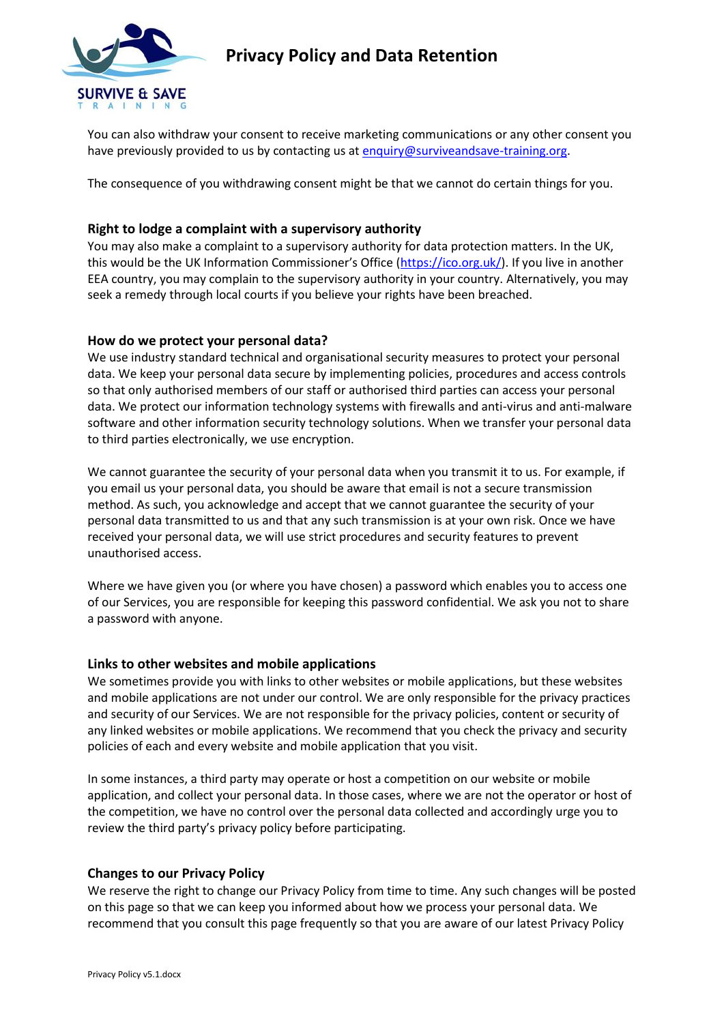

You can also withdraw your consent to receive marketing communications or any other consent you have previously provided to us by contacting us at [enquiry@surviveandsave-training.org.](mailto:enquiry@surviveandsave-training.org)

The consequence of you withdrawing consent might be that we cannot do certain things for you.

# **Right to lodge a complaint with a supervisory authority**

You may also make a complaint to a supervisory authority for data protection matters. In the UK, this would be the UK Information Commissioner's Office ([https://ico.org.uk/\)](https://ico.org.uk/). If you live in another EEA country, you may complain to the supervisory authority in your country. Alternatively, you may seek a remedy through local courts if you believe your rights have been breached.

## **How do we protect your personal data?**

We use industry standard technical and organisational security measures to protect your personal data. We keep your personal data secure by implementing policies, procedures and access controls so that only authorised members of our staff or authorised third parties can access your personal data. We protect our information technology systems with firewalls and anti-virus and anti-malware software and other information security technology solutions. When we transfer your personal data to third parties electronically, we use encryption.

We cannot guarantee the security of your personal data when you transmit it to us. For example, if you email us your personal data, you should be aware that email is not a secure transmission method. As such, you acknowledge and accept that we cannot guarantee the security of your personal data transmitted to us and that any such transmission is at your own risk. Once we have received your personal data, we will use strict procedures and security features to prevent unauthorised access.

Where we have given you (or where you have chosen) a password which enables you to access one of our Services, you are responsible for keeping this password confidential. We ask you not to share a password with anyone.

### **Links to other websites and mobile applications**

We sometimes provide you with links to other websites or mobile applications, but these websites and mobile applications are not under our control. We are only responsible for the privacy practices and security of our Services. We are not responsible for the privacy policies, content or security of any linked websites or mobile applications. We recommend that you check the privacy and security policies of each and every website and mobile application that you visit.

In some instances, a third party may operate or host a competition on our website or mobile application, and collect your personal data. In those cases, where we are not the operator or host of the competition, we have no control over the personal data collected and accordingly urge you to review the third party's privacy policy before participating.

### **Changes to our Privacy Policy**

We reserve the right to change our Privacy Policy from time to time. Any such changes will be posted on this page so that we can keep you informed about how we process your personal data. We recommend that you consult this page frequently so that you are aware of our latest Privacy Policy